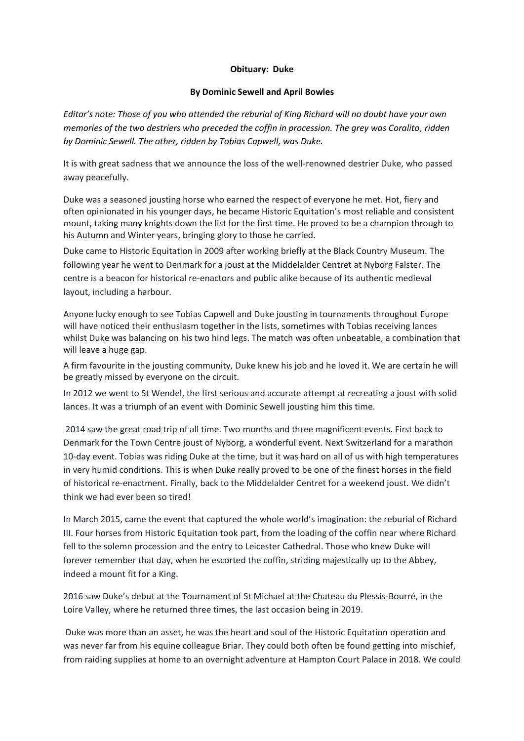## **Obituary: Duke**

## **By Dominic Sewell and April Bowles**

*Editor's note: Those of you who attended the reburial of King Richard will no doubt have your own memories of the two destriers who preceded the coffin in procession. The grey was Coralito, ridden by Dominic Sewell. The other, ridden by Tobias Capwell, was Duke.*

It is with great sadness that we announce the loss of the well-renowned destrier Duke, who passed away peacefully.

Duke was a seasoned jousting horse who earned the respect of everyone he met. Hot, fiery and often opinionated in his younger days, he became Historic Equitation's most reliable and consistent mount, taking many knights down the list for the first time. He proved to be a champion through to his Autumn and Winter years, bringing glory to those he carried.

Duke came to Historic Equitation in 2009 after working briefly at the Black Country Museum. The following year he went to Denmark for a joust at the Middelalder Centret at Nyborg Falster. The centre is a beacon for historical re-enactors and public alike because of its authentic medieval layout, including a harbour.

Anyone lucky enough to see Tobias Capwell and Duke jousting in tournaments throughout Europe will have noticed their enthusiasm together in the lists, sometimes with Tobias receiving lances whilst Duke was balancing on his two hind legs. The match was often unbeatable, a combination that will leave a huge gap.

A firm favourite in the jousting community, Duke knew his job and he loved it. We are certain he will be greatly missed by everyone on the circuit.

In 2012 we went to St Wendel, the first serious and accurate attempt at recreating a joust with solid lances. It was a triumph of an event with Dominic Sewell jousting him this time.

2014 saw the great road trip of all time. Two months and three magnificent events. First back to Denmark for the Town Centre joust of Nyborg, a wonderful event. Next Switzerland for a marathon 10-day event. Tobias was riding Duke at the time, but it was hard on all of us with high temperatures in very humid conditions. This is when Duke really proved to be one of the finest horses in the field of historical re-enactment. Finally, back to the Middelalder Centret for a weekend joust. We didn't think we had ever been so tired!

In March 2015, came the event that captured the whole world's imagination: the reburial of Richard III. Four horses from Historic Equitation took part, from the loading of the coffin near where Richard fell to the solemn procession and the entry to Leicester Cathedral. Those who knew Duke will forever remember that day, when he escorted the coffin, striding majestically up to the Abbey, indeed a mount fit for a King.

2016 saw Duke's debut at the Tournament of St Michael at the Chateau du Plessis-Bourré, in the Loire Valley, where he returned three times, the last occasion being in 2019.

Duke was more than an asset, he was the heart and soul of the Historic Equitation operation and was never far from his equine colleague Briar. They could both often be found getting into mischief, from raiding supplies at home to an overnight adventure at Hampton Court Palace in 2018. We could